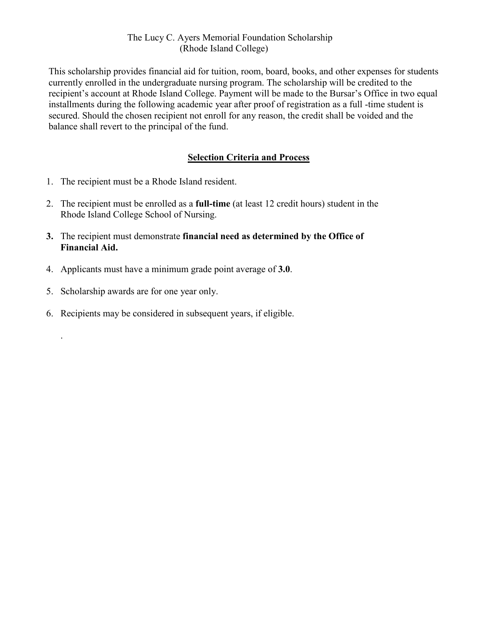## The Lucy C. Ayers Memorial Foundation Scholarship (Rhode Island College)

This scholarship provides financial aid for tuition, room, board, books, and other expenses for students currently enrolled in the undergraduate nursing program. The scholarship will be credited to the recipient's account at Rhode Island College. Payment will be made to the Bursar's Office in two equal installments during the following academic year after proof of registration as a full -time student is secured. Should the chosen recipient not enroll for any reason, the credit shall be voided and the balance shall revert to the principal of the fund.

## **Selection Criteria and Process**

- 1. The recipient must be a Rhode Island resident.
- 2. The recipient must be enrolled as a **full-time** (at least 12 credit hours) student in the Rhode Island College School of Nursing.
- **3.** The recipient must demonstrate **financial need as determined by the Office of Financial Aid.**
- 4. Applicants must have a minimum grade point average of **3.0**.
- 5. Scholarship awards are for one year only.

.

6. Recipients may be considered in subsequent years, if eligible.